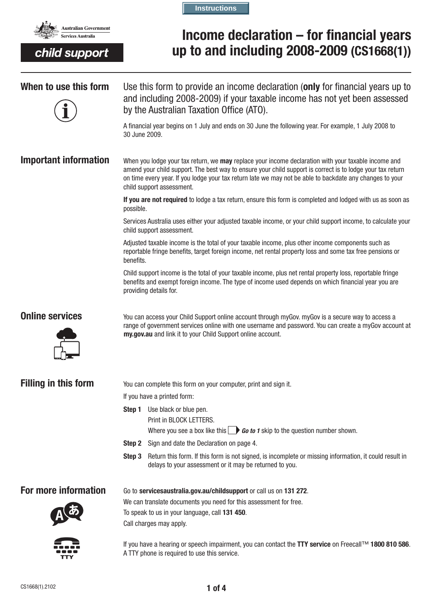

child support

**Instructions**

# **Income declaration – for financial years up to and including 2008-2009 (CS1668(1))**

**When to use this form** Use this form to provide an income declaration (**only** for financial years up to and including 2008-2009) if your taxable income has not yet been assessed by the Australian Taxation Office (ATO). A financial year begins on 1 July and ends on 30 June the following year. For example, 1 July 2008 to 30 June 2009. **Important information** When you lodge your tax return, we **may** replace your income declaration with your taxable income and amend your child support. The best way to ensure your child support is correct is to lodge your tax return on time every year. If you lodge your tax return late we may not be able to backdate any changes to your child support assessment. **If you are not required** to lodge a tax return, ensure this form is completed and lodged with us as soon as possible. Services Australia uses either your adjusted taxable income, or your child support income, to calculate your child support assessment. Adjusted taxable income is the total of your taxable income, plus other income components such as reportable fringe benefits, target foreign income, net rental property loss and some tax free pensions or benefits. Child support income is the total of your taxable income, plus net rental property loss, reportable fringe benefits and exempt foreign income. The type of income used depends on which financial year you are providing details for. **Online services** You can access your Child Support online account through myGov. myGov is a secure way to access a range of government services online with one username and password. You can create a myGov account at my.gov.au and link it to your Child Support online account. **Filling in this form** You can complete this form on your computer, print and sign it. If you have a printed form: **Step 1** Use black or blue pen. Print in BLOCK LETTERS. Where you see a box like this  $\Box$  **Go to 1** skip to the question number shown. **Step 2** Sign and date the Declaration on page 4. **Step 3** Return this form. If this form is not signed, is incomplete or missing information, it could result in delays to your assessment or it may be returned to you. **For more information** Go to servicesaustralia.gov.au/childsupport or call us on 131 272. We can translate documents you need for this assessment for free. To speak to us in your language, call **131 450**. Call charges may apply. If you have a hearing or speech impairment, you can contact the **TTY service** on Freecall™ **1800 810 586**.

A TTY phone is required to use this service.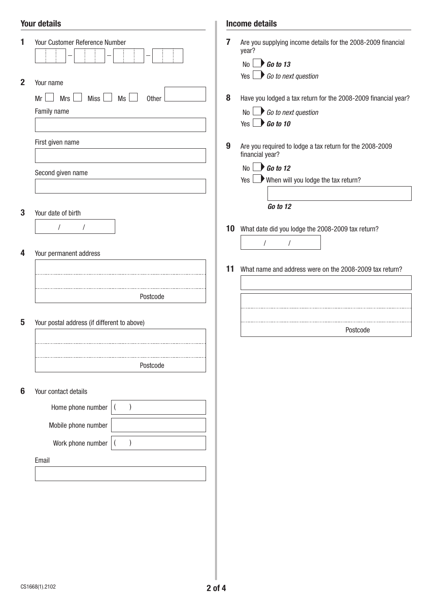## Your details

|                 | <b>Your details</b>                                                   |    | <b>Income details</b>                                                                                                               |  |  |
|-----------------|-----------------------------------------------------------------------|----|-------------------------------------------------------------------------------------------------------------------------------------|--|--|
|                 | Your Customer Reference Number                                        | 7  | Are you supplying income details for the 2008-2009 financial<br>year?<br>$\bigcup$ Go to 13<br>No<br>$Yes \t\t Go to next question$ |  |  |
| $\mathbf{2}$    | Your name<br><b>Miss</b><br>Mrs<br>Ms<br>Mr<br>Other<br>$\mathcal{L}$ | 8  | Have you lodged a tax return for the 2008-2009 financial year?                                                                      |  |  |
|                 | Family name                                                           |    | $No \rightarrow Go$ to next question                                                                                                |  |  |
|                 |                                                                       |    | Yes $\Box$ Go to 10                                                                                                                 |  |  |
|                 | First given name                                                      |    |                                                                                                                                     |  |  |
|                 |                                                                       | 9  | Are you required to lodge a tax return for the 2008-2009<br>financial year?                                                         |  |  |
|                 |                                                                       |    | No $\rightarrow$ Go to 12                                                                                                           |  |  |
|                 | Second given name                                                     |    | When will you lodge the tax return?<br>Yes I                                                                                        |  |  |
|                 |                                                                       |    |                                                                                                                                     |  |  |
| 3               | Your date of birth                                                    |    | Go to 12                                                                                                                            |  |  |
|                 | $\sqrt{2}$                                                            |    |                                                                                                                                     |  |  |
|                 |                                                                       |    | 10 What date did you lodge the 2008-2009 tax return?                                                                                |  |  |
| 4               | Your permanent address                                                |    | $\prime$                                                                                                                            |  |  |
|                 |                                                                       |    |                                                                                                                                     |  |  |
|                 |                                                                       | 11 | What name and address were on the 2008-2009 tax return?                                                                             |  |  |
|                 |                                                                       |    |                                                                                                                                     |  |  |
|                 | Postcode                                                              |    |                                                                                                                                     |  |  |
|                 |                                                                       |    |                                                                                                                                     |  |  |
| 5               | Your postal address (if different to above)                           |    | Postcode                                                                                                                            |  |  |
|                 |                                                                       |    |                                                                                                                                     |  |  |
|                 |                                                                       |    |                                                                                                                                     |  |  |
|                 | Postcode                                                              |    |                                                                                                                                     |  |  |
|                 |                                                                       |    |                                                                                                                                     |  |  |
| $6\phantom{1}6$ | Your contact details                                                  |    |                                                                                                                                     |  |  |
|                 | Home phone number                                                     |    |                                                                                                                                     |  |  |
|                 | Mobile phone number                                                   |    |                                                                                                                                     |  |  |
|                 | Work phone number                                                     |    |                                                                                                                                     |  |  |
|                 |                                                                       |    |                                                                                                                                     |  |  |
|                 | Email                                                                 |    |                                                                                                                                     |  |  |
|                 |                                                                       |    |                                                                                                                                     |  |  |
|                 |                                                                       |    |                                                                                                                                     |  |  |
|                 |                                                                       |    |                                                                                                                                     |  |  |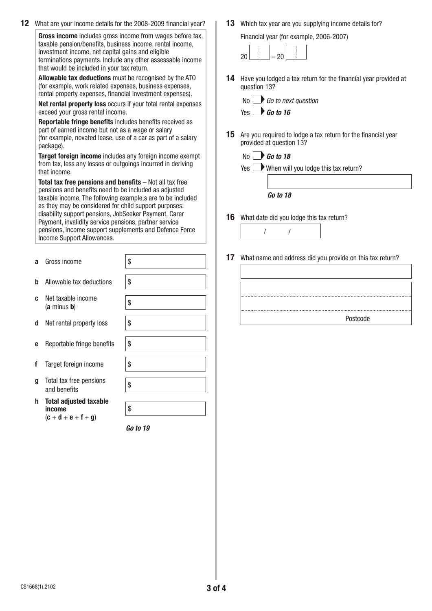| 12 | What are your income details for the 2008-2009 financial year?                                                                                                                                                                                                                                                                                                                                                                                                                                                                                                                                 |                                                    |    | 13 Which tax year are you supplying income details for?                                                                                   |  |                   |                          |    |                                                           |  |
|----|------------------------------------------------------------------------------------------------------------------------------------------------------------------------------------------------------------------------------------------------------------------------------------------------------------------------------------------------------------------------------------------------------------------------------------------------------------------------------------------------------------------------------------------------------------------------------------------------|----------------------------------------------------|----|-------------------------------------------------------------------------------------------------------------------------------------------|--|-------------------|--------------------------|----|-----------------------------------------------------------|--|
|    | Gross income includes gross income from wages before tax,<br>taxable pension/benefits, business income, rental income,<br>investment income, net capital gains and eligible<br>terminations payments. Include any other assessable income<br>that would be included in your tax return.                                                                                                                                                                                                                                                                                                        |                                                    |    | Financial year (for example, 2006-2007)<br>20<br>20                                                                                       |  |                   |                          |    |                                                           |  |
|    | Allowable tax deductions must be recognised by the ATO<br>(for example, work related expenses, business expenses,<br>rental property expenses, financial investment expenses).                                                                                                                                                                                                                                                                                                                                                                                                                 |                                                    |    | 14 Have you lodged a tax return for the financial year provided at<br>question 13?<br>$No \qquad Go$ to next question                     |  |                   |                          |    |                                                           |  |
|    | Net rental property loss occurs if your total rental expenses<br>exceed your gross rental income.                                                                                                                                                                                                                                                                                                                                                                                                                                                                                              |                                                    |    | Yes $\rightarrow$ Go to 16                                                                                                                |  |                   |                          |    |                                                           |  |
|    | Reportable fringe benefits includes benefits received as<br>part of earned income but not as a wage or salary<br>(for example, novated lease, use of a car as part of a salary<br>package).                                                                                                                                                                                                                                                                                                                                                                                                    |                                                    |    | <b>15</b> Are you required to lodge a tax return for the financial year<br>provided at question 13?                                       |  |                   |                          |    |                                                           |  |
|    | Target foreign income includes any foreign income exempt<br>from tax, less any losses or outgoings incurred in deriving<br>that income.<br>Total tax free pensions and benefits $-$ Not all tax free<br>pensions and benefits need to be included as adjusted<br>taxable income. The following example,s are to be included<br>as they may be considered for child support purposes:<br>disability support pensions, JobSeeker Payment, Carer<br>Payment, invalidity service pensions, partner service<br>pensions, income support supplements and Defence Force<br>Income Support Allowances. |                                                    |    | $\bigtriangledown$ Go to 18<br>Yes $\Box$ When will you lodge this tax return?<br>Go to 18<br>16 What date did you lodge this tax return? |  |                   |                          |    |                                                           |  |
|    |                                                                                                                                                                                                                                                                                                                                                                                                                                                                                                                                                                                                |                                                    |    |                                                                                                                                           |  | Gross income<br>a | \$                       | 17 | What name and address did you provide on this tax return? |  |
|    |                                                                                                                                                                                                                                                                                                                                                                                                                                                                                                                                                                                                |                                                    |    |                                                                                                                                           |  |                   | Allowable tax deductions | \$ |                                                           |  |
|    |                                                                                                                                                                                                                                                                                                                                                                                                                                                                                                                                                                                                | Net taxable income<br>C.<br>$(a \text{ minus } b)$ | \$ |                                                                                                                                           |  |                   |                          |    |                                                           |  |
|    | Net rental property loss<br>d                                                                                                                                                                                                                                                                                                                                                                                                                                                                                                                                                                  | \$                                                 |    | Postcode                                                                                                                                  |  |                   |                          |    |                                                           |  |

- **e** Reportable fringe benefits  $\frac{1}{3}$
- **f** Target foreign income \\ \
- **g** Total tax free pensions<br>and benefits
- **h Total adjusted taxable income**   $(c + d + e + f + g)$

*Go to 19*

\$